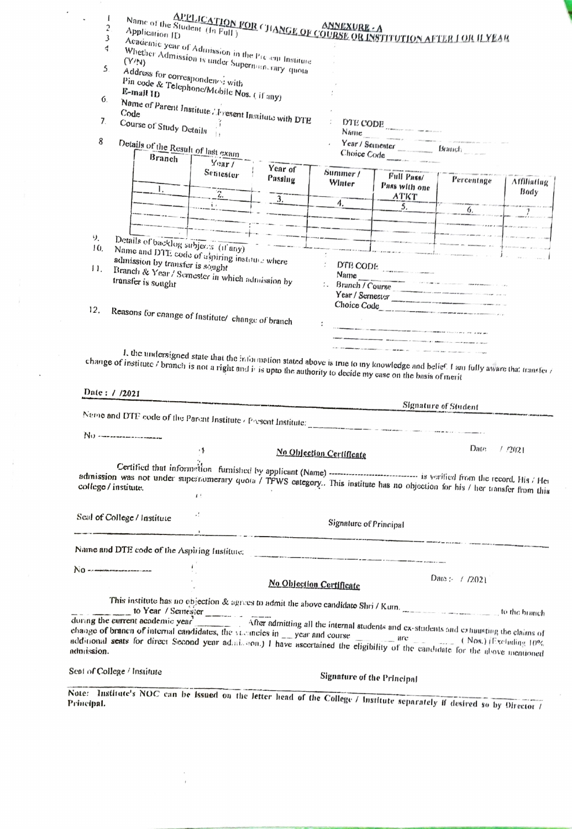|         |                                                                                                                                                                                                                                   | Name of the Student (In Full)                                                                         |                  |                                   |                                                                                                                                | APPLICATION FOR CHANGE OF COURSE OR INSTITUTION AFTER LOR ILYEAR<br>Student (In Full) |                    |
|---------|-----------------------------------------------------------------------------------------------------------------------------------------------------------------------------------------------------------------------------------|-------------------------------------------------------------------------------------------------------|------------------|-----------------------------------|--------------------------------------------------------------------------------------------------------------------------------|---------------------------------------------------------------------------------------|--------------------|
|         | Application ID<br>3                                                                                                                                                                                                               |                                                                                                       |                  |                                   |                                                                                                                                |                                                                                       |                    |
|         | 4                                                                                                                                                                                                                                 |                                                                                                       |                  |                                   |                                                                                                                                |                                                                                       |                    |
|         |                                                                                                                                                                                                                                   | Academic year of Admission in the Present Institute<br>Whether Admission is under Superman rary quota |                  |                                   |                                                                                                                                |                                                                                       |                    |
|         | 5                                                                                                                                                                                                                                 | Address for correspondence with                                                                       |                  |                                   |                                                                                                                                |                                                                                       |                    |
|         |                                                                                                                                                                                                                                   | Pin code & Telephone/Mobile Nos. (if any)                                                             |                  |                                   |                                                                                                                                |                                                                                       |                    |
| 6.      |                                                                                                                                                                                                                                   |                                                                                                       |                  |                                   |                                                                                                                                |                                                                                       |                    |
|         |                                                                                                                                                                                                                                   | Name of Parent Institute Aresent Institute with DTE                                                   |                  |                                   |                                                                                                                                |                                                                                       |                    |
| 7.      | Course of Study Details $\frac{1}{1}$                                                                                                                                                                                             |                                                                                                       |                  |                                   | DTE CODE                                                                                                                       |                                                                                       |                    |
|         |                                                                                                                                                                                                                                   |                                                                                                       |                  | Name                              | the product of the company of                                                                                                  |                                                                                       |                    |
| 8       |                                                                                                                                                                                                                                   | Details of the Result of last exam                                                                    |                  | Year / Seinester _________ Branch |                                                                                                                                |                                                                                       |                    |
|         | Branch                                                                                                                                                                                                                            | Year/                                                                                                 |                  |                                   | Choice Code                                                                                                                    |                                                                                       |                    |
|         |                                                                                                                                                                                                                                   | Sentester                                                                                             | Year of          | Summer /                          | Full Pass/                                                                                                                     |                                                                                       |                    |
|         |                                                                                                                                                                                                                                   |                                                                                                       | Passing          | Winter                            | Pass with one                                                                                                                  | Percentage                                                                            | <b>Affiliating</b> |
|         | Ι.                                                                                                                                                                                                                                | $\overline{\widetilde{\mathcal{L}}}$                                                                  | $\overline{3}$ . |                                   | <b>ATKT</b>                                                                                                                    |                                                                                       | Body               |
|         |                                                                                                                                                                                                                                   | iν                                                                                                    |                  | 4.                                | 5.                                                                                                                             | 6.                                                                                    |                    |
|         |                                                                                                                                                                                                                                   |                                                                                                       |                  |                                   |                                                                                                                                |                                                                                       |                    |
|         |                                                                                                                                                                                                                                   |                                                                                                       |                  |                                   |                                                                                                                                |                                                                                       |                    |
| り       |                                                                                                                                                                                                                                   | Details of backlog subjects (if any)                                                                  |                  |                                   |                                                                                                                                |                                                                                       |                    |
| 10.     |                                                                                                                                                                                                                                   | Name and DTE code of aspiring instance where                                                          |                  |                                   |                                                                                                                                |                                                                                       |                    |
|         | admission by transfer is sought                                                                                                                                                                                                   |                                                                                                       |                  |                                   |                                                                                                                                |                                                                                       |                    |
| $\prod$ | D'ER CODE<br>Branch & Year / Semester in which admission by<br>Name<br>.<br>Minister and a company of the company of the first product of the company of the company of the company of the                                        |                                                                                                       |                  |                                   |                                                                                                                                |                                                                                       |                    |
|         | transfer is sought                                                                                                                                                                                                                |                                                                                                       |                  |                                   | Branch / Course                                                                                                                |                                                                                       |                    |
|         |                                                                                                                                                                                                                                   |                                                                                                       |                  |                                   | Year / Sernesus                                                                                                                |                                                                                       |                    |
| 12.     |                                                                                                                                                                                                                                   |                                                                                                       |                  |                                   | Choice Code                                                                                                                    |                                                                                       |                    |
|         |                                                                                                                                                                                                                                   | Reasons for cnange of Institute/ change of branch                                                     |                  |                                   |                                                                                                                                |                                                                                       |                    |
|         |                                                                                                                                                                                                                                   |                                                                                                       |                  |                                   | .<br>North Marine of the New York and the State of the New York and the State of the New York and the New York and             |                                                                                       |                    |
|         | change of institute / branch is not a right and it is upto the authority to decide my case on the basis of merit<br>Date: / /2021                                                                                                 |                                                                                                       |                  |                                   |                                                                                                                                |                                                                                       |                    |
|         |                                                                                                                                                                                                                                   |                                                                                                       |                  |                                   |                                                                                                                                |                                                                                       |                    |
|         |                                                                                                                                                                                                                                   |                                                                                                       |                  |                                   | Signature of Student                                                                                                           |                                                                                       |                    |
|         |                                                                                                                                                                                                                                   |                                                                                                       |                  |                                   |                                                                                                                                |                                                                                       |                    |
|         | Neme and DTE code of the Parent Institute (Present Institute: ___________________<br>No ---------------------                                                                                                                     |                                                                                                       |                  |                                   |                                                                                                                                |                                                                                       |                    |
|         |                                                                                                                                                                                                                                   | 19                                                                                                    |                  |                                   |                                                                                                                                | Date                                                                                  | $/$ /2021          |
|         |                                                                                                                                                                                                                                   |                                                                                                       |                  | No Objection Certificate          |                                                                                                                                |                                                                                       |                    |
|         |                                                                                                                                                                                                                                   |                                                                                                       |                  |                                   |                                                                                                                                |                                                                                       |                    |
|         |                                                                                                                                                                                                                                   |                                                                                                       |                  |                                   | Certified that information furnished by applicant (Name) ------------------------------ is verified from the record. His / Her |                                                                                       |                    |
|         | admission was not under superflumerary quota / TPWS category. This institute has no objection for his / her transfer from this<br>college / institute.                                                                            | 1 <sup>1</sup>                                                                                        |                  |                                   |                                                                                                                                |                                                                                       |                    |
|         |                                                                                                                                                                                                                                   |                                                                                                       |                  |                                   |                                                                                                                                |                                                                                       |                    |
|         | Seal of College / Institute                                                                                                                                                                                                       | ٠.                                                                                                    |                  |                                   |                                                                                                                                |                                                                                       |                    |
|         |                                                                                                                                                                                                                                   |                                                                                                       |                  | Signature of Principal            |                                                                                                                                |                                                                                       |                    |
|         |                                                                                                                                                                                                                                   |                                                                                                       |                  |                                   | n a compositor de protestantes de distributionnelle marie e ambém d'un travaux a construir ambés i aquis protes                |                                                                                       |                    |
|         | Name and DTE code of the Aspiring Institute:<br>$N0$ or express the second contract of $\sim$                                                                                                                                     |                                                                                                       |                  |                                   |                                                                                                                                |                                                                                       |                    |
|         |                                                                                                                                                                                                                                   |                                                                                                       |                  |                                   |                                                                                                                                | Date: $/$ /2021                                                                       |                    |
|         |                                                                                                                                                                                                                                   |                                                                                                       |                  | No Objection Certificate          |                                                                                                                                |                                                                                       |                    |
|         |                                                                                                                                                                                                                                   |                                                                                                       |                  |                                   |                                                                                                                                |                                                                                       |                    |
|         |                                                                                                                                                                                                                                   |                                                                                                       |                  |                                   | This institute has no objection & agrees to admit the above candidate Shri / Kum.                                              |                                                                                       |                    |
|         |                                                                                                                                                                                                                                   |                                                                                                       |                  |                                   |                                                                                                                                |                                                                                       |                    |
|         |                                                                                                                                                                                                                                   |                                                                                                       |                  |                                   |                                                                                                                                |                                                                                       |                    |
|         |                                                                                                                                                                                                                                   |                                                                                                       |                  |                                   |                                                                                                                                |                                                                                       |                    |
|         | change of branch of internal candidates, the victoricies in great and course are are (Nos.) [Excluding 10%]<br>additional seats for direct Second year admission.) I have ascertained the eligibility of the candidate for the al |                                                                                                       |                  |                                   |                                                                                                                                |                                                                                       |                    |
|         | Sent of College / Institute                                                                                                                                                                                                       |                                                                                                       |                  |                                   | Signature of the Principal                                                                                                     |                                                                                       |                    |
|         | Note: Institute's NOC can be issued on the letter head of the College / Institute separately if desired so by Director /                                                                                                          |                                                                                                       |                  |                                   |                                                                                                                                |                                                                                       |                    |

 $\frac{1}{\sqrt{2}}$